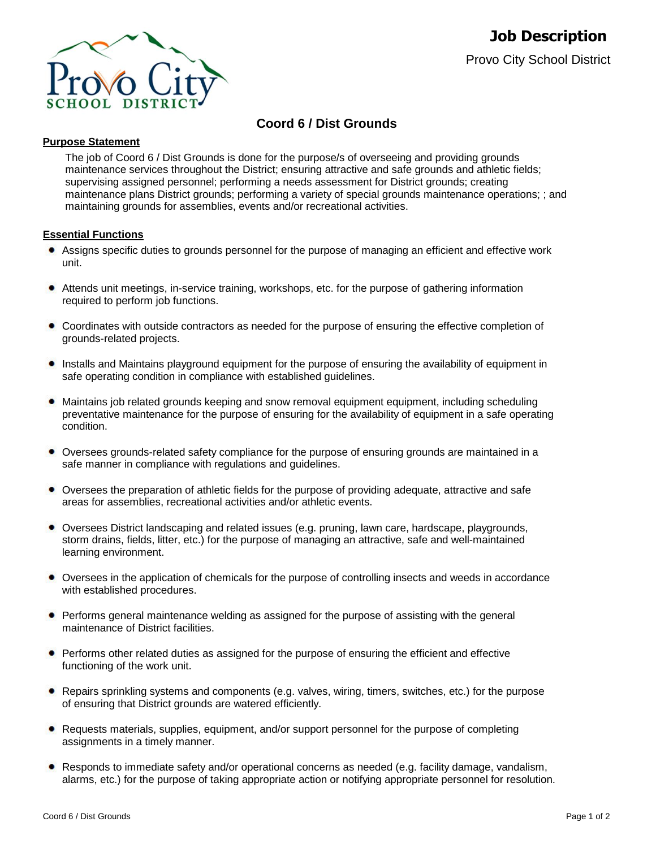

# **Coord 6 / Dist Grounds**

# **Purpose Statement**

The job of Coord 6 / Dist Grounds is done for the purpose/s of overseeing and providing grounds maintenance services throughout the District; ensuring attractive and safe grounds and athletic fields; supervising assigned personnel; performing a needs assessment for District grounds; creating maintenance plans District grounds; performing a variety of special grounds maintenance operations; ; and maintaining grounds for assemblies, events and/or recreational activities.

# **Essential Functions**

- Assigns specific duties to grounds personnel for the purpose of managing an efficient and effective work unit.
- $\bullet$ Attends unit meetings, in-service training, workshops, etc. for the purpose of gathering information required to perform job functions.
- Coordinates with outside contractors as needed for the purpose of ensuring the effective completion of grounds-related projects.
- Installs and Maintains playground equipment for the purpose of ensuring the availability of equipment in safe operating condition in compliance with established guidelines.
- ٠ Maintains job related grounds keeping and snow removal equipment equipment, including scheduling preventative maintenance for the purpose of ensuring for the availability of equipment in a safe operating condition.
- Oversees grounds-related safety compliance for the purpose of ensuring grounds are maintained in a safe manner in compliance with regulations and guidelines.
- Oversees the preparation of athletic fields for the purpose of providing adequate, attractive and safe areas for assemblies, recreational activities and/or athletic events.
- Oversees District landscaping and related issues (e.g. pruning, lawn care, hardscape, playgrounds, storm drains, fields, litter, etc.) for the purpose of managing an attractive, safe and well-maintained learning environment.
- Oversees in the application of chemicals for the purpose of controlling insects and weeds in accordance with established procedures.
- **•** Performs general maintenance welding as assigned for the purpose of assisting with the general maintenance of District facilities.
- Performs other related duties as assigned for the purpose of ensuring the efficient and effective functioning of the work unit.
- Repairs sprinkling systems and components (e.g. valves, wiring, timers, switches, etc.) for the purpose of ensuring that District grounds are watered efficiently.
- Requests materials, supplies, equipment, and/or support personnel for the purpose of completing assignments in a timely manner.
- Responds to immediate safety and/or operational concerns as needed (e.g. facility damage, vandalism, alarms, etc.) for the purpose of taking appropriate action or notifying appropriate personnel for resolution.